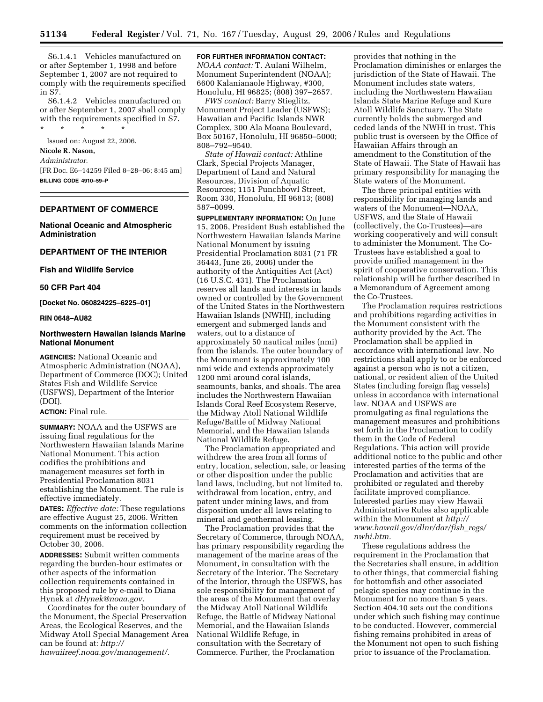S6.1.4.1 Vehicles manufactured on or after September 1, 1998 and before September 1, 2007 are not required to comply with the requirements specified in S7.

S6.1.4.2 Vehicles manufactured on or after September 1, 2007 shall comply with the requirements specified in S7. \* \* \* \* \*

Issued on: August 22, 2006.

**Nicole R. Nason,** 

*Administrator.* 

[FR Doc. E6–14259 Filed 8–28–06; 8:45 am] **BILLING CODE 4910–59–P** 

## **DEPARTMENT OF COMMERCE**

**National Oceanic and Atmospheric Administration** 

## **DEPARTMENT OF THE INTERIOR**

**Fish and Wildlife Service** 

### **50 CFR Part 404**

**[Docket No. 060824225–6225–01]** 

### **RIN 0648–AU82**

# **Northwestern Hawaiian Islands Marine National Monument**

**AGENCIES:** National Oceanic and Atmospheric Administration (NOAA), Department of Commerce (DOC); United States Fish and Wildlife Service (USFWS), Department of the Interior (DOI).

### **ACTION:** Final rule.

**SUMMARY:** NOAA and the USFWS are issuing final regulations for the Northwestern Hawaiian Islands Marine National Monument. This action codifies the prohibitions and management measures set forth in Presidential Proclamation 8031 establishing the Monument. The rule is effective immediately.

**DATES:** *Effective date:* These regulations are effective August 25, 2006. Written comments on the information collection requirement must be received by October 30, 2006.

**ADDRESSES:** Submit written comments regarding the burden-hour estimates or other aspects of the information collection requirements contained in this proposed rule by e-mail to Diana Hynek at *dHynek@noaa.gov.* 

Coordinates for the outer boundary of the Monument, the Special Preservation Areas, the Ecological Reserves, and the Midway Atoll Special Management Area can be found at: *http:// hawaiireef.noaa.gov/management/.* 

**FOR FURTHER INFORMATION CONTACT:**  *NOAA contact:* T. Aulani Wilhelm, Monument Superintendent (NOAA); 6600 Kalanianaole Highway, #300, Honolulu, HI 96825; (808) 397–2657.

*FWS contact:* Barry Stieglitz, Monument Project Leader (USFWS); Hawaiian and Pacific Islands NWR Complex, 300 Ala Moana Boulevard, Box 50167, Honolulu, HI 96850–5000; 808–792–9540.

*State of Hawaii contact:* Athline Clark, Special Projects Manager, Department of Land and Natural Resources, Division of Aquatic Resources; 1151 Punchbowl Street, Room 330, Honolulu, HI 96813; (808) 587–0099.

**SUPPLEMENTARY INFORMATION:** On June 15, 2006, President Bush established the Northwestern Hawaiian Islands Marine National Monument by issuing Presidential Proclamation 8031 (71 FR 36443, June 26, 2006) under the authority of the Antiquities Act (Act) (16 U.S.C. 431). The Proclamation reserves all lands and interests in lands owned or controlled by the Government of the United States in the Northwestern Hawaiian Islands (NWHI), including emergent and submerged lands and waters, out to a distance of approximately 50 nautical miles (nmi) from the islands. The outer boundary of the Monument is approximately 100 nmi wide and extends approximately 1200 nmi around coral islands, seamounts, banks, and shoals. The area includes the Northwestern Hawaiian Islands Coral Reef Ecosystem Reserve, the Midway Atoll National Wildlife Refuge/Battle of Midway National Memorial, and the Hawaiian Islands National Wildlife Refuge.

The Proclamation appropriated and withdrew the area from all forms of entry, location, selection, sale, or leasing or other disposition under the public land laws, including, but not limited to, withdrawal from location, entry, and patent under mining laws, and from disposition under all laws relating to mineral and geothermal leasing.

The Proclamation provides that the Secretary of Commerce, through NOAA, has primary responsibility regarding the management of the marine areas of the Monument, in consultation with the Secretary of the Interior. The Secretary of the Interior, through the USFWS, has sole responsibility for management of the areas of the Monument that overlay the Midway Atoll National Wildlife Refuge, the Battle of Midway National Memorial, and the Hawaiian Islands National Wildlife Refuge, in consultation with the Secretary of Commerce. Further, the Proclamation

provides that nothing in the Proclamation diminishes or enlarges the jurisdiction of the State of Hawaii. The Monument includes state waters, including the Northwestern Hawaiian Islands State Marine Refuge and Kure Atoll Wildlife Sanctuary. The State currently holds the submerged and ceded lands of the NWHI in trust. This public trust is overseen by the Office of Hawaiian Affairs through an amendment to the Constitution of the State of Hawaii. The State of Hawaii has primary responsibility for managing the State waters of the Monument.

The three principal entities with responsibility for managing lands and waters of the Monument—NOAA, USFWS, and the State of Hawaii (collectively, the Co-Trustees)—are working cooperatively and will consult to administer the Monument. The Co-Trustees have established a goal to provide unified management in the spirit of cooperative conservation. This relationship will be further described in a Memorandum of Agreement among the Co-Trustees.

The Proclamation requires restrictions and prohibitions regarding activities in the Monument consistent with the authority provided by the Act. The Proclamation shall be applied in accordance with international law. No restrictions shall apply to or be enforced against a person who is not a citizen, national, or resident alien of the United States (including foreign flag vessels) unless in accordance with international law. NOAA and USFWS are promulgating as final regulations the management measures and prohibitions set forth in the Proclamation to codify them in the Code of Federal Regulations. This action will provide additional notice to the public and other interested parties of the terms of the Proclamation and activities that are prohibited or regulated and thereby facilitate improved compliance. Interested parties may view Hawaii Administrative Rules also applicable within the Monument at *http:// www.hawaii.gov/dlnr/dar/fish*\_*regs/ nwhi.htm.* 

These regulations address the requirement in the Proclamation that the Secretaries shall ensure, in addition to other things, that commercial fishing for bottomfish and other associated pelagic species may continue in the Monument for no more than 5 years. Section 404.10 sets out the conditions under which such fishing may continue to be conducted. However, commercial fishing remains prohibited in areas of the Monument not open to such fishing prior to issuance of the Proclamation.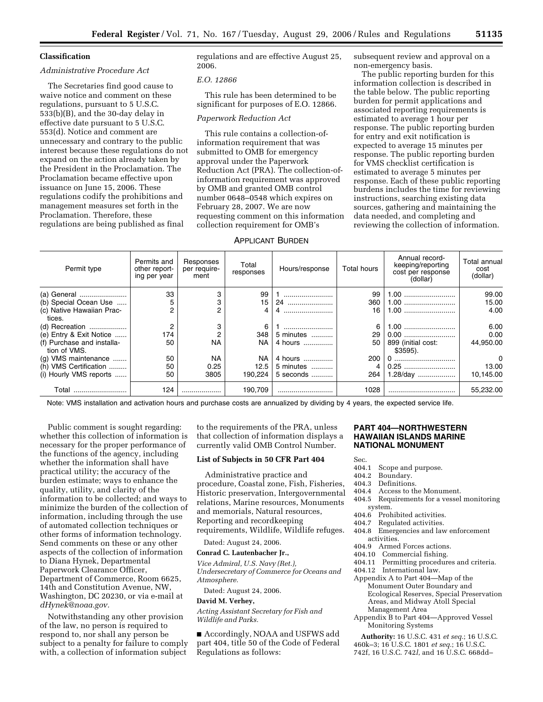## **Classification**

## *Administrative Procedure Act*

The Secretaries find good cause to waive notice and comment on these regulations, pursuant to 5 U.S.C. 533(b)(B), and the 30-day delay in effective date pursuant to 5 U.S.C. 553(d). Notice and comment are unnecessary and contrary to the public interest because these regulations do not expand on the action already taken by the President in the Proclamation. The Proclamation became effective upon issuance on June 15, 2006. These regulations codify the prohibitions and management measures set forth in the Proclamation. Therefore, these regulations are being published as final

regulations and are effective August 25, 2006.

#### *E.O. 12866*

This rule has been determined to be significant for purposes of E.O. 12866.

#### *Paperwork Reduction Act*

This rule contains a collection-ofinformation requirement that was submitted to OMB for emergency approval under the Paperwork Reduction Act (PRA). The collection-ofinformation requirement was approved by OMB and granted OMB control number 0648–0548 which expires on February 28, 2007. We are now requesting comment on this information collection requirement for OMB's

# APPLICANT BURDEN

subsequent review and approval on a non-emergency basis.

The public reporting burden for this information collection is described in the table below. The public reporting burden for permit applications and associated reporting requirements is estimated to average 1 hour per response. The public reporting burden for entry and exit notification is expected to average 15 minutes per response. The public reporting burden for VMS checklist certification is estimated to average 5 minutes per response. Each of these public reporting burdens includes the time for reviewing instructions, searching existing data sources, gathering and maintaining the data needed, and completing and reviewing the collection of information.

| Permit type                                | Permits and<br>other report-<br>ing per year | Responses<br>per require-<br>ment | Total<br>responses | Hours/response | <b>Total hours</b> | Annual record-<br>keeping/reporting<br>cost per response<br>(dollar) | Total annual<br>cost<br>(dollar) |
|--------------------------------------------|----------------------------------------------|-----------------------------------|--------------------|----------------|--------------------|----------------------------------------------------------------------|----------------------------------|
| (a) General                                | 33                                           |                                   | 99                 |                | 99                 | 1.00                                                                 | 99.00                            |
| (b) Special Ocean Use                      | 5                                            |                                   | 15                 | 24             | 360                | 1.00                                                                 | 15.00                            |
| (c) Native Hawaiian Prac-<br>tices.        | 2                                            |                                   | 4                  | 4<br>          | 16                 | 1.00                                                                 | 4.00                             |
| (d) Recreation                             | 2                                            | 3                                 | 6                  |                | 6                  | 1.00                                                                 | 6.00                             |
| (e) Entry & Exit Notice                    | 174                                          |                                   | 348                | 5 minutes      | 29                 | 0.00                                                                 | 0.00                             |
| (f) Purchase and installa-<br>tion of VMS. | 50                                           | NA                                | NA.                | 4 hours        | 50                 | 899 (initial cost:<br>\$3595).                                       | 44,950.00                        |
| (g) VMS maintenance                        | 50                                           | NA                                | NA.                | 4 hours        | 200                |                                                                      | $\Omega$                         |
| (h) VMS Certification                      | 50                                           | 0.25                              | 12.5               | 5 minutes      | 4                  | 0.25                                                                 | 13.00                            |
| (i) Hourly VMS reports                     | 50                                           | 3805                              | 190.224            | 5 seconds      | 264                | 1.28/day                                                             | 10,145.00                        |
| ⊺otal                                      | 124                                          |                                   | 190.709            |                | 1028               |                                                                      | 55,232.00                        |

Note: VMS installation and activation hours and purchase costs are annualized by dividing by 4 years, the expected service life.

Public comment is sought regarding: whether this collection of information is necessary for the proper performance of the functions of the agency, including whether the information shall have practical utility; the accuracy of the burden estimate; ways to enhance the quality, utility, and clarity of the information to be collected; and ways to minimize the burden of the collection of information, including through the use of automated collection techniques or other forms of information technology. Send comments on these or any other aspects of the collection of information to Diana Hynek, Departmental Paperwork Clearance Officer, Department of Commerce, Room 6625, 14th and Constitution Avenue, NW, Washington, DC 20230, or via e-mail at *dHynek@noaa.gov.* 

Notwithstanding any other provision of the law, no person is required to respond to, nor shall any person be subject to a penalty for failure to comply with, a collection of information subject

to the requirements of the PRA, unless that collection of information displays a currently valid OMB Control Number.

# **List of Subjects in 50 CFR Part 404**

Administrative practice and procedure, Coastal zone, Fish, Fisheries, Historic preservation, Intergovernmental relations, Marine resources, Monuments and memorials, Natural resources, Reporting and recordkeeping requirements, Wildlife, Wildlife refuges.

Dated: August 24, 2006.

#### **Conrad C. Lautenbacher Jr.,**

*Vice Admiral, U.S. Navy (Ret.),* 

*Undersecretary of Commerce for Oceans and Atmosphere.* 

Dated: August 24, 2006.

### **David M. Verhey,**

*Acting Assistant Secretary for Fish and Wildlife and Parks.* 

■ Accordingly, NOAA and USFWS add part 404, title 50 of the Code of Federal Regulations as follows:

## **PART 404—NORTHWESTERN HAWAIIAN ISLANDS MARINE NATIONAL MONUMENT**

Sec.<br>404.1

- Scope and purpose.
- 404.2 Boundary.
- 404.3 Definitions.
- Access to the Monument.
- 404.5 Requirements for a vessel monitoring system.<br>404.6 Prob
- Prohibited activities.
- 404.7 Regulated activities.
- 404.8 Emergencies and law enforcement activities.
- 404.9 Armed Forces actions.
- 404.10 Commercial fishing.
- 404.11 Permitting procedures and criteria.
- 404.12 International law.
- Appendix A to Part 404—Map of the Monument Outer Boundary and Ecological Reserves, Special Preservation Areas, and Midway Atoll Special
	- Management Area
- Appendix B to Part 404—Approved Vessel Monitoring Systems

**Authority:** 16 U.S.C. 431 *et seq.*; 16 U.S.C. 460k–3; 16 U.S.C. 1801 *et seq.*; 16 U.S.C. 742f, 16 U.S.C. 742*l*, and 16 U.S.C. 668dd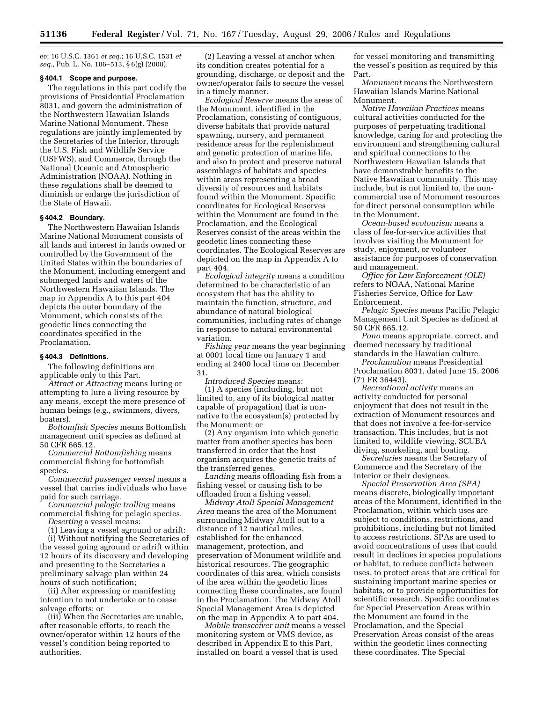ee; 16 U.S.C. 1361 *et seq.*; 16 U.S.C. 1531 *et seq.*, Pub. L. No. 106–513, § 6(g) (2000).

### **§ 404.1 Scope and purpose.**

The regulations in this part codify the provisions of Presidential Proclamation 8031, and govern the administration of the Northwestern Hawaiian Islands Marine National Monument. These regulations are jointly implemented by the Secretaries of the Interior, through the U.S. Fish and Wildlife Service (USFWS), and Commerce, through the National Oceanic and Atmospheric Administration (NOAA). Nothing in these regulations shall be deemed to diminish or enlarge the jurisdiction of the State of Hawaii.

# **§ 404.2 Boundary.**

The Northwestern Hawaiian Islands Marine National Monument consists of all lands and interest in lands owned or controlled by the Government of the United States within the boundaries of the Monument, including emergent and submerged lands and waters of the Northwestern Hawaiian Islands. The map in Appendix A to this part 404 depicts the outer boundary of the Monument, which consists of the geodetic lines connecting the coordinates specified in the Proclamation.

#### **§ 404.3 Definitions.**

The following definitions are applicable only to this Part.

*Attract or Attracting* means luring or attempting to lure a living resource by any means, except the mere presence of human beings (e.g., swimmers, divers, boaters).

*Bottomfish Species* means Bottomfish management unit species as defined at 50 CFR 665.12.

*Commercial Bottomfishing* means commercial fishing for bottomfish species.

*Commercial passenger vessel* means a vessel that carries individuals who have paid for such carriage.

*Commercial pelagic trolling* means commercial fishing for pelagic species.

*Deserting* a vessel means:

(1) Leaving a vessel aground or adrift: (i) Without notifying the Secretaries of the vessel going aground or adrift within 12 hours of its discovery and developing and presenting to the Secretaries a preliminary salvage plan within 24 hours of such notification;

(ii) After expressing or manifesting intention to not undertake or to cease salvage efforts; or

(iii) When the Secretaries are unable, after reasonable efforts, to reach the owner/operator within 12 hours of the vessel's condition being reported to authorities.

(2) Leaving a vessel at anchor when its condition creates potential for a grounding, discharge, or deposit and the owner/operator fails to secure the vessel in a timely manner.

*Ecological Reserve* means the areas of the Monument, identified in the Proclamation, consisting of contiguous, diverse habitats that provide natural spawning, nursery, and permanent residence areas for the replenishment and genetic protection of marine life, and also to protect and preserve natural assemblages of habitats and species within areas representing a broad diversity of resources and habitats found within the Monument. Specific coordinates for Ecological Reserves within the Monument are found in the Proclamation, and the Ecological Reserves consist of the areas within the geodetic lines connecting these coordinates. The Ecological Reserves are depicted on the map in Appendix A to part 404.

*Ecological integrity* means a condition determined to be characteristic of an ecosystem that has the ability to maintain the function, structure, and abundance of natural biological communities, including rates of change in response to natural environmental variation.

*Fishing year* means the year beginning at 0001 local time on January 1 and ending at 2400 local time on December 31.

*Introduced Species* means:

(1) A species (including, but not limited to, any of its biological matter capable of propagation) that is nonnative to the ecosystem(s) protected by the Monument; or

(2) Any organism into which genetic matter from another species has been transferred in order that the host organism acquires the genetic traits of the transferred genes.

*Landing* means offloading fish from a fishing vessel or causing fish to be offloaded from a fishing vessel.

*Midway Atoll Special Management Area* means the area of the Monument surrounding Midway Atoll out to a distance of 12 nautical miles, established for the enhanced management, protection, and preservation of Monument wildlife and historical resources. The geographic coordinates of this area, which consists of the area within the geodetic lines connecting these coordinates, are found in the Proclamation. The Midway Atoll Special Management Area is depicted on the map in Appendix A to part 404.

*Mobile transceiver unit* means a vessel monitoring system or VMS device, as described in Appendix E to this Part, installed on board a vessel that is used

for vessel monitoring and transmitting the vessel's position as required by this Part.

*Monument* means the Northwestern Hawaiian Islands Marine National Monument.

*Native Hawaiian Practices* means cultural activities conducted for the purposes of perpetuating traditional knowledge, caring for and protecting the environment and strengthening cultural and spiritual connections to the Northwestern Hawaiian Islands that have demonstrable benefits to the Native Hawaiian community. This may include, but is not limited to, the noncommercial use of Monument resources for direct personal consumption while in the Monument.

*Ocean-based ecotourism* means a class of fee-for-service activities that involves visiting the Monument for study, enjoyment, or volunteer assistance for purposes of conservation and management.

*Office for Law Enforcement (OLE)*  refers to NOAA, National Marine Fisheries Service, Office for Law Enforcement.

*Pelagic Species* means Pacific Pelagic Management Unit Species as defined at 50 CFR 665.12.

*Pono* means appropriate, correct, and deemed necessary by traditional standards in the Hawaiian culture.

*Proclamation* means Presidential Proclamation 8031, dated June 15, 2006 (71 FR 36443).

*Recreational activity* means an activity conducted for personal enjoyment that does not result in the extraction of Monument resources and that does not involve a fee-for-service transaction. This includes, but is not limited to, wildlife viewing, SCUBA diving, snorkeling, and boating.

*Secretaries* means the Secretary of Commerce and the Secretary of the Interior or their designees.

*Special Preservation Area (SPA)*  means discrete, biologically important areas of the Monument, identified in the Proclamation, within which uses are subject to conditions, restrictions, and prohibitions, including but not limited to access restrictions. SPAs are used to avoid concentrations of uses that could result in declines in species populations or habitat, to reduce conflicts between uses, to protect areas that are critical for sustaining important marine species or habitats, or to provide opportunities for scientific research. Specific coordinates for Special Preservation Areas within the Monument are found in the Proclamation, and the Special Preservation Areas consist of the areas within the geodetic lines connecting these coordinates. The Special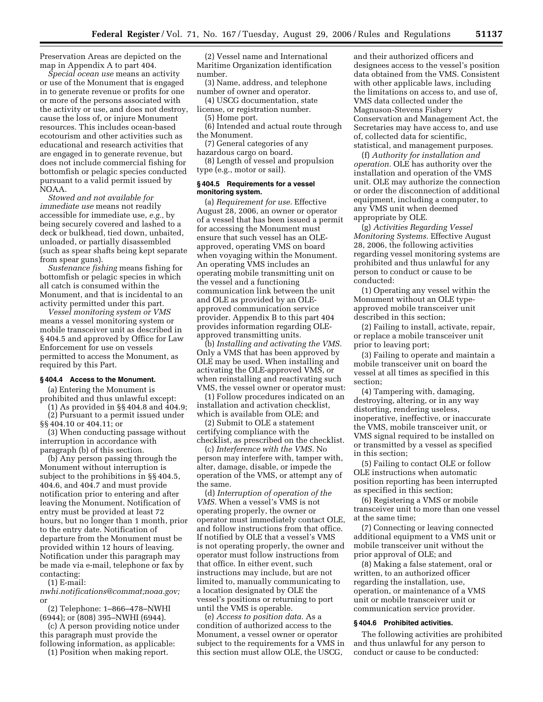Preservation Areas are depicted on the map in Appendix A to part 404.

*Special ocean use* means an activity or use of the Monument that is engaged in to generate revenue or profits for one or more of the persons associated with the activity or use, and does not destroy, cause the loss of, or injure Monument resources. This includes ocean-based ecotourism and other activities such as educational and research activities that are engaged in to generate revenue, but does not include commercial fishing for bottomfish or pelagic species conducted pursuant to a valid permit issued by NOAA.

*Stowed and not available for immediate use* means not readily accessible for immediate use, *e.g.,* by being securely covered and lashed to a deck or bulkhead, tied down, unbaited, unloaded, or partially disassembled (such as spear shafts being kept separate from spear guns).

*Sustenance fishing* means fishing for bottomfish or pelagic species in which all catch is consumed within the Monument, and that is incidental to an activity permitted under this part.

*Vessel monitoring system or VMS*  means a vessel monitoring system or mobile transceiver unit as described in § 404.5 and approved by Office for Law Enforcement for use on vessels permitted to access the Monument, as required by this Part.

### **§ 404.4 Access to the Monument.**

(a) Entering the Monument is prohibited and thus unlawful except:

 $(1)$  As provided in §§404.8 and  $404.9$ ; (2) Pursuant to a permit issued under

§§ 404.10 or 404.11; or (3) When conducting passage without interruption in accordance with paragraph (b) of this section.

(b) Any person passing through the Monument without interruption is subject to the prohibitions in §§ 404.5, 404.6, and 404.7 and must provide notification prior to entering and after leaving the Monument. Notification of entry must be provided at least 72 hours, but no longer than 1 month, prior to the entry date. Notification of departure from the Monument must be provided within 12 hours of leaving. Notification under this paragraph may be made via e-mail, telephone or fax by contacting:

(1) E-mail:

*nwhi.notifications@commat;noaa.gov;*  or

(2) Telephone: 1–866–478–NWHI (6944); or (808) 395–NWHI (6944).

(c) A person providing notice under this paragraph must provide the

following information, as applicable: (1) Position when making report.

(2) Vessel name and International Maritime Organization identification number.

(3) Name, address, and telephone number of owner and operator.

(4) USCG documentation, state license, or registration number.

(5) Home port.

(6) Intended and actual route through the Monument.

(7) General categories of any hazardous cargo on board.

(8) Length of vessel and propulsion type (e.g., motor or sail).

### **§ 404.5 Requirements for a vessel monitoring system.**

(a) *Requirement for use.* Effective August 28, 2006, an owner or operator of a vessel that has been issued a permit for accessing the Monument must ensure that such vessel has an OLEapproved, operating VMS on board when voyaging within the Monument. An operating VMS includes an operating mobile transmitting unit on the vessel and a functioning communication link between the unit and OLE as provided by an OLEapproved communication service provider. Appendix B to this part 404 provides information regarding OLEapproved transmitting units.

(b) *Installing and activating the VMS.*  Only a VMS that has been approved by OLE may be used. When installing and activating the OLE-approved VMS, or when reinstalling and reactivating such VMS, the vessel owner or operator must:

(1) Follow procedures indicated on an installation and activation checklist, which is available from OLE; and

(2) Submit to OLE a statement certifying compliance with the checklist, as prescribed on the checklist.

(c) *Interference with the VMS.* No person may interfere with, tamper with, alter, damage, disable, or impede the operation of the VMS, or attempt any of the same.

(d) *Interruption of operation of the VMS.* When a vessel's VMS is not operating properly, the owner or operator must immediately contact OLE, and follow instructions from that office. If notified by OLE that a vessel's VMS is not operating properly, the owner and operator must follow instructions from that office. In either event, such instructions may include, but are not limited to, manually communicating to a location designated by OLE the vessel's positions or returning to port until the VMS is operable.

(e) *Access to position data.* As a condition of authorized access to the Monument, a vessel owner or operator subject to the requirements for a VMS in this section must allow OLE, the USCG,

and their authorized officers and designees access to the vessel's position data obtained from the VMS. Consistent with other applicable laws, including the limitations on access to, and use of, VMS data collected under the Magnuson-Stevens Fishery Conservation and Management Act, the Secretaries may have access to, and use of, collected data for scientific, statistical, and management purposes.

(f) *Authority for installation and operation.* OLE has authority over the installation and operation of the VMS unit. OLE may authorize the connection or order the disconnection of additional equipment, including a computer, to any VMS unit when deemed appropriate by OLE.

(g) *Activities Regarding Vessel Monitoring Systems.* Effective August 28, 2006, the following activities regarding vessel monitoring systems are prohibited and thus unlawful for any person to conduct or cause to be conducted:

(1) Operating any vessel within the Monument without an OLE typeapproved mobile transceiver unit described in this section;

(2) Failing to install, activate, repair, or replace a mobile transceiver unit prior to leaving port;

(3) Failing to operate and maintain a mobile transceiver unit on board the vessel at all times as specified in this section;

(4) Tampering with, damaging, destroying, altering, or in any way distorting, rendering useless, inoperative, ineffective, or inaccurate the VMS, mobile transceiver unit, or VMS signal required to be installed on or transmitted by a vessel as specified in this section;

(5) Failing to contact OLE or follow OLE instructions when automatic position reporting has been interrupted as specified in this section;

(6) Registering a VMS or mobile transceiver unit to more than one vessel at the same time;

(7) Connecting or leaving connected additional equipment to a VMS unit or mobile transceiver unit without the prior approval of OLE; and

(8) Making a false statement, oral or written, to an authorized officer regarding the installation, use, operation, or maintenance of a VMS unit or mobile transceiver unit or communication service provider.

## **§ 404.6 Prohibited activities.**

The following activities are prohibited and thus unlawful for any person to conduct or cause to be conducted: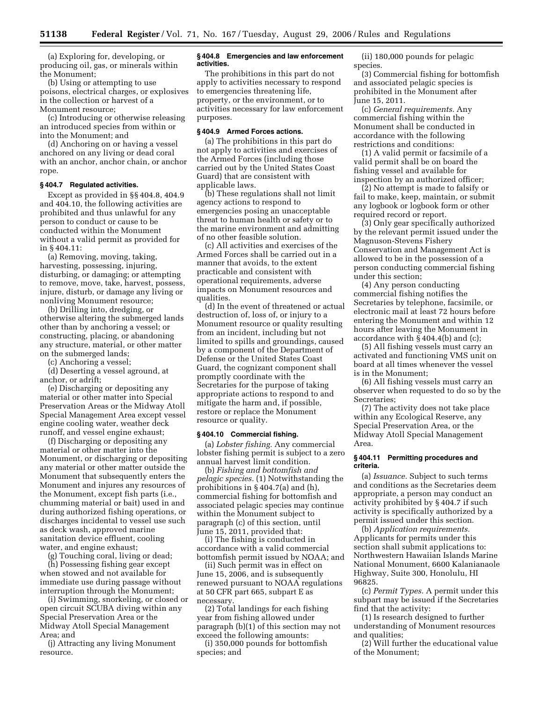(a) Exploring for, developing, or producing oil, gas, or minerals within the Monument;

(b) Using or attempting to use poisons, electrical charges, or explosives in the collection or harvest of a Monument resource;

(c) Introducing or otherwise releasing an introduced species from within or into the Monument; and

(d) Anchoring on or having a vessel anchored on any living or dead coral with an anchor, anchor chain, or anchor rope.

### **§ 404.7 Regulated activities.**

Except as provided in §§ 404.8, 404.9 and 404.10, the following activities are prohibited and thus unlawful for any person to conduct or cause to be conducted within the Monument without a valid permit as provided for in § 404.11:

(a) Removing, moving, taking, harvesting, possessing, injuring, disturbing, or damaging; or attempting to remove, move, take, harvest, possess, injure, disturb, or damage any living or nonliving Monument resource;

(b) Drilling into, dredging, or otherwise altering the submerged lands other than by anchoring a vessel; or constructing, placing, or abandoning any structure, material, or other matter on the submerged lands;

(c) Anchoring a vessel;

(d) Deserting a vessel aground, at anchor, or adrift;

(e) Discharging or depositing any material or other matter into Special Preservation Areas or the Midway Atoll Special Management Area except vessel engine cooling water, weather deck runoff, and vessel engine exhaust;

(f) Discharging or depositing any material or other matter into the Monument, or discharging or depositing any material or other matter outside the Monument that subsequently enters the Monument and injures any resources of the Monument, except fish parts (i.e., chumming material or bait) used in and during authorized fishing operations, or discharges incidental to vessel use such as deck wash, approved marine sanitation device effluent, cooling water, and engine exhaust;

(g) Touching coral, living or dead;

(h) Possessing fishing gear except when stowed and not available for immediate use during passage without interruption through the Monument;

(i) Swimming, snorkeling, or closed or open circuit SCUBA diving within any Special Preservation Area or the Midway Atoll Special Management Area; and

(j) Attracting any living Monument resource.

#### **§ 404.8 Emergencies and law enforcement activities.**

The prohibitions in this part do not apply to activities necessary to respond to emergencies threatening life, property, or the environment, or to activities necessary for law enforcement purposes.

#### **§ 404.9 Armed Forces actions.**

(a) The prohibitions in this part do not apply to activities and exercises of the Armed Forces (including those carried out by the United States Coast Guard) that are consistent with applicable laws.

(b) These regulations shall not limit agency actions to respond to emergencies posing an unacceptable threat to human health or safety or to the marine environment and admitting of no other feasible solution.

(c) All activities and exercises of the Armed Forces shall be carried out in a manner that avoids, to the extent practicable and consistent with operational requirements, adverse impacts on Monument resources and qualities.

(d) In the event of threatened or actual destruction of, loss of, or injury to a Monument resource or quality resulting from an incident, including but not limited to spills and groundings, caused by a component of the Department of Defense or the United States Coast Guard, the cognizant component shall promptly coordinate with the Secretaries for the purpose of taking appropriate actions to respond to and mitigate the harm and, if possible, restore or replace the Monument resource or quality.

#### **§ 404.10 Commercial fishing.**

(a) *Lobster fishing.* Any commercial lobster fishing permit is subject to a zero annual harvest limit condition.

(b) *Fishing and bottomfish and pelagic species.* (1) Notwithstanding the prohibitions in § 404.7(a) and (h), commercial fishing for bottomfish and associated pelagic species may continue within the Monument subject to paragraph (c) of this section, until June 15, 2011, provided that:

(i) The fishing is conducted in accordance with a valid commercial bottomfish permit issued by NOAA; and

(ii) Such permit was in effect on June 15, 2006, and is subsequently renewed pursuant to NOAA regulations at 50 CFR part 665, subpart E as necessary.

(2) Total landings for each fishing year from fishing allowed under paragraph (b)(1) of this section may not exceed the following amounts:

(i) 350,000 pounds for bottomfish species; and

(ii) 180,000 pounds for pelagic species.

(3) Commercial fishing for bottomfish and associated pelagic species is prohibited in the Monument after June 15, 2011.

(c) *General requirements.* Any commercial fishing within the Monument shall be conducted in accordance with the following restrictions and conditions:

(1) A valid permit or facsimile of a valid permit shall be on board the fishing vessel and available for inspection by an authorized officer;

(2) No attempt is made to falsify or fail to make, keep, maintain, or submit any logbook or logbook form or other required record or report.

(3) Only gear specifically authorized by the relevant permit issued under the Magnuson-Stevens Fishery Conservation and Management Act is allowed to be in the possession of a person conducting commercial fishing under this section;

(4) Any person conducting commercial fishing notifies the Secretaries by telephone, facsimile, or electronic mail at least 72 hours before entering the Monument and within 12 hours after leaving the Monument in accordance with § 404.4(b) and (c);

(5) All fishing vessels must carry an activated and functioning VMS unit on board at all times whenever the vessel is in the Monument;

(6) All fishing vessels must carry an observer when requested to do so by the Secretaries;

(7) The activity does not take place within any Ecological Reserve, any Special Preservation Area, or the Midway Atoll Special Management Area.

### **§ 404.11 Permitting procedures and criteria.**

(a) *Issuance.* Subject to such terms and conditions as the Secretaries deem appropriate, a person may conduct an activity prohibited by § 404.7 if such activity is specifically authorized by a permit issued under this section.

(b) *Application requirements.*  Applicants for permits under this section shall submit applications to: Northwestern Hawaiian Islands Marine National Monument, 6600 Kalanianaole Highway, Suite 300, Honolulu, HI 96825.

(c) *Permit Types.* A permit under this subpart may be issued if the Secretaries find that the activity:

(1) Is research designed to further understanding of Monument resources and qualities;

(2) Will further the educational value of the Monument;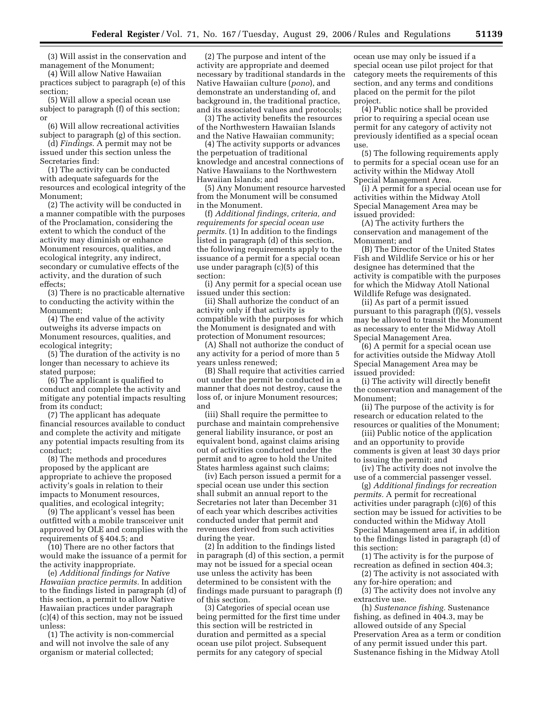(3) Will assist in the conservation and management of the Monument;

(4) Will allow Native Hawaiian practices subject to paragraph (e) of this section;

(5) Will allow a special ocean use subject to paragraph (f) of this section; or

(6) Will allow recreational activities subject to paragraph (g) of this section.

(d) *Findings.* A permit may not be issued under this section unless the Secretaries find:

(1) The activity can be conducted with adequate safeguards for the resources and ecological integrity of the Monument;

(2) The activity will be conducted in a manner compatible with the purposes of the Proclamation, considering the extent to which the conduct of the activity may diminish or enhance Monument resources, qualities, and ecological integrity, any indirect, secondary or cumulative effects of the activity, and the duration of such effects;

(3) There is no practicable alternative to conducting the activity within the Monument;

(4) The end value of the activity outweighs its adverse impacts on Monument resources, qualities, and ecological integrity;

(5) The duration of the activity is no longer than necessary to achieve its stated purpose;

(6) The applicant is qualified to conduct and complete the activity and mitigate any potential impacts resulting from its conduct;

(7) The applicant has adequate financial resources available to conduct and complete the activity and mitigate any potential impacts resulting from its conduct;

(8) The methods and procedures proposed by the applicant are appropriate to achieve the proposed activity's goals in relation to their impacts to Monument resources, qualities, and ecological integrity;

(9) The applicant's vessel has been outfitted with a mobile transceiver unit approved by OLE and complies with the requirements of § 404.5; and

(10) There are no other factors that would make the issuance of a permit for the activity inappropriate.

(e) *Additional findings for Native Hawaiian practice permits.* In addition to the findings listed in paragraph (d) of this section, a permit to allow Native Hawaiian practices under paragraph (c)(4) of this section, may not be issued unless:

(1) The activity is non-commercial and will not involve the sale of any organism or material collected;

(2) The purpose and intent of the activity are appropriate and deemed necessary by traditional standards in the Native Hawaiian culture (*pono*), and demonstrate an understanding of, and background in, the traditional practice, and its associated values and protocols;

(3) The activity benefits the resources of the Northwestern Hawaiian Islands and the Native Hawaiian community;

(4) The activity supports or advances the perpetuation of traditional knowledge and ancestral connections of Native Hawaiians to the Northwestern Hawaiian Islands; and

(5) Any Monument resource harvested from the Monument will be consumed in the Monument.

(f) *Additional findings, criteria, and requirements for special ocean use permits.* (1) In addition to the findings listed in paragraph (d) of this section, the following requirements apply to the issuance of a permit for a special ocean use under paragraph (c)(5) of this section:

(i) Any permit for a special ocean use issued under this section:

(ii) Shall authorize the conduct of an activity only if that activity is compatible with the purposes for which the Monument is designated and with protection of Monument resources;

(A) Shall not authorize the conduct of any activity for a period of more than 5 years unless renewed;

(B) Shall require that activities carried out under the permit be conducted in a manner that does not destroy, cause the loss of, or injure Monument resources; and

(iii) Shall require the permittee to purchase and maintain comprehensive general liability insurance, or post an equivalent bond, against claims arising out of activities conducted under the permit and to agree to hold the United States harmless against such claims;

(iv) Each person issued a permit for a special ocean use under this section shall submit an annual report to the Secretaries not later than December 31 of each year which describes activities conducted under that permit and revenues derived from such activities during the year.

(2) In addition to the findings listed in paragraph (d) of this section, a permit may not be issued for a special ocean use unless the activity has been determined to be consistent with the findings made pursuant to paragraph (f) of this section.

(3) Categories of special ocean use being permitted for the first time under this section will be restricted in duration and permitted as a special ocean use pilot project. Subsequent permits for any category of special

ocean use may only be issued if a special ocean use pilot project for that category meets the requirements of this section, and any terms and conditions placed on the permit for the pilot project.

(4) Public notice shall be provided prior to requiring a special ocean use permit for any category of activity not previously identified as a special ocean use.

(5) The following requirements apply to permits for a special ocean use for an activity within the Midway Atoll Special Management Area.

(i) A permit for a special ocean use for activities within the Midway Atoll Special Management Area may be issued provided:

(A) The activity furthers the conservation and management of the Monument; and

(B) The Director of the United States Fish and Wildlife Service or his or her designee has determined that the activity is compatible with the purposes for which the Midway Atoll National Wildlife Refuge was designated.

(ii) As part of a permit issued pursuant to this paragraph (f)(5), vessels may be allowed to transit the Monument as necessary to enter the Midway Atoll Special Management Area.

(6) A permit for a special ocean use for activities outside the Midway Atoll Special Management Area may be issued provided:

(i) The activity will directly benefit the conservation and management of the Monument;

(ii) The purpose of the activity is for research or education related to the resources or qualities of the Monument;

(iii) Public notice of the application and an opportunity to provide comments is given at least 30 days prior to issuing the permit; and

(iv) The activity does not involve the use of a commercial passenger vessel.

(g) *Additional findings for recreation permits.* A permit for recreational activities under paragraph (c)(6) of this section may be issued for activities to be conducted within the Midway Atoll Special Management area if, in addition to the findings listed in paragraph (d) of this section:

(1) The activity is for the purpose of recreation as defined in section 404.3;

(2) The activity is not associated with any for-hire operation; and

(3) The activity does not involve any extractive use.

(h) *Sustenance fishing.* Sustenance fishing, as defined in 404.3, may be allowed outside of any Special Preservation Area as a term or condition of any permit issued under this part. Sustenance fishing in the Midway Atoll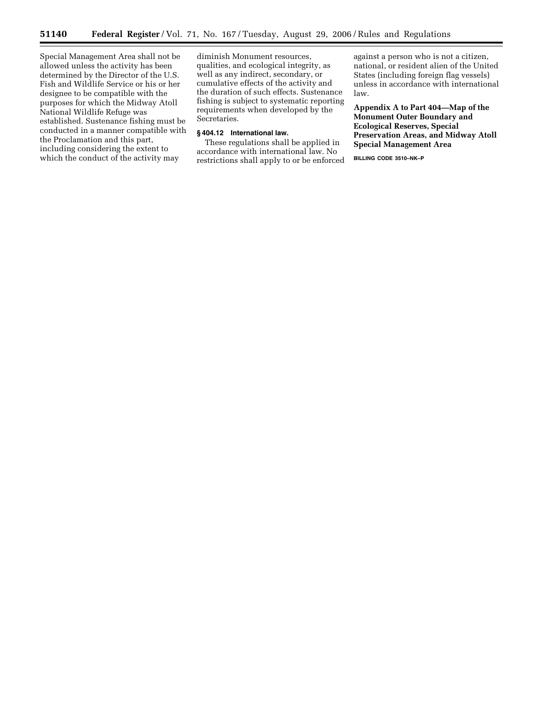Special Management Area shall not be allowed unless the activity has been determined by the Director of the U.S. Fish and Wildlife Service or his or her designee to be compatible with the purposes for which the Midway Atoll National Wildlife Refuge was established. Sustenance fishing must be conducted in a manner compatible with the Proclamation and this part, including considering the extent to which the conduct of the activity may

<u>— 1</u>

diminish Monument resources, qualities, and ecological integrity, as well as any indirect, secondary, or cumulative effects of the activity and the duration of such effects. Sustenance fishing is subject to systematic reporting requirements when developed by the Secretaries.

### **§ 404.12 International law.**

These regulations shall be applied in accordance with international law. No restrictions shall apply to or be enforced against a person who is not a citizen, national, or resident alien of the United States (including foreign flag vessels) unless in accordance with international law.

**Appendix A to Part 404—Map of the Monument Outer Boundary and Ecological Reserves, Special Preservation Areas, and Midway Atoll Special Management Area** 

**BILLING CODE 3510–NK–P**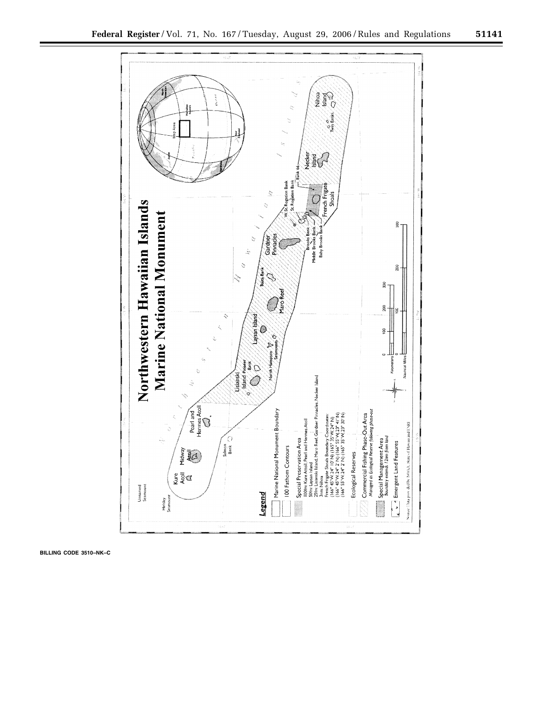

**BILLING CODE 3510–NK–C**